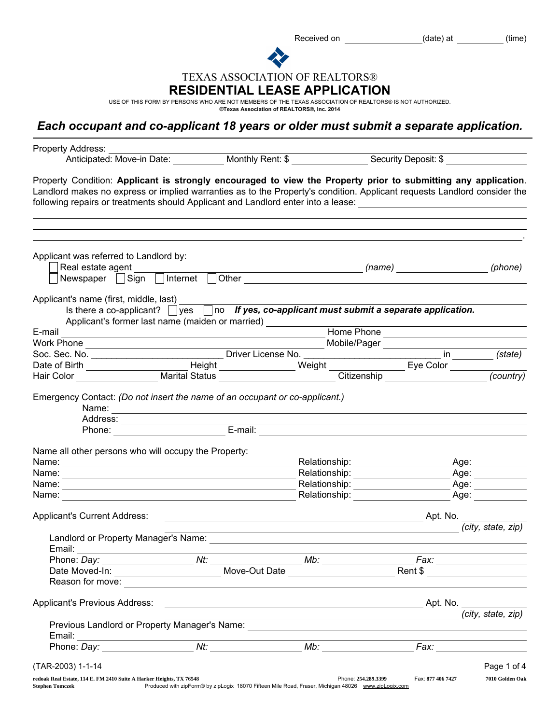Received on \_\_\_\_\_\_\_\_\_\_\_\_\_\_\_\_\_\_\_\_\_\_\_(date) at \_\_\_\_\_\_\_\_\_\_\_(time)

TEXAS ASSOCIATION OF REALTORS®

## RESIDENTIAL LEASE APPLICATION

USE OF THIS FORM BY PERSONS WHO ARE NOT MEMBERS OF THE TEXAS ASSOCIATION OF REALTORS® IS NOT AUTHORIZED.<br>©Texas Association of **REALTORS®, Inc. 2014** 

## *Each occupant and co-applicant 18 years or older must submit a separate application.*

| Property Address:<br>Anticipated: Move-in Date: Monthly Rent: \$ Security Deposit: \$                                                                                                                                                                                                                                                                                                                         |                                                                                                     |                                                                                                                                                                                                                               |                                                                             |                                       |
|---------------------------------------------------------------------------------------------------------------------------------------------------------------------------------------------------------------------------------------------------------------------------------------------------------------------------------------------------------------------------------------------------------------|-----------------------------------------------------------------------------------------------------|-------------------------------------------------------------------------------------------------------------------------------------------------------------------------------------------------------------------------------|-----------------------------------------------------------------------------|---------------------------------------|
| Property Condition: Applicant is strongly encouraged to view the Property prior to submitting any application.<br>Landlord makes no express or implied warranties as to the Property's condition. Applicant requests Landlord consider the<br>following repairs or treatments should Applicant and Landlord enter into a lease: ___________________________                                                   |                                                                                                     |                                                                                                                                                                                                                               |                                                                             |                                       |
| Applicant was referred to Landlord by:                                                                                                                                                                                                                                                                                                                                                                        |                                                                                                     |                                                                                                                                                                                                                               |                                                                             |                                       |
| Real estate agent<br>Newspaper Sign Internet Other                                                                                                                                                                                                                                                                                                                                                            |                                                                                                     |                                                                                                                                                                                                                               | _________________________________(name) ____________________________(phone) |                                       |
| Applicant's name (first, middle, last)                                                                                                                                                                                                                                                                                                                                                                        |                                                                                                     |                                                                                                                                                                                                                               |                                                                             |                                       |
| Is there a co-applicant? $\Box$ yes $\Box$ no If yes, co-applicant must submit a separate application.<br>Applicant's former last name (maiden or married) _______________________________                                                                                                                                                                                                                    |                                                                                                     |                                                                                                                                                                                                                               |                                                                             |                                       |
| <b>Maria Property Control 2006 Control 2006 Control 2006 Control 2006 Control 2006 Control 2006 Control 2006 Control 2006 Control 2006 Control 2006 Control 2006 Control 2006 Control 2006 Control 2006 Control 2006 Control 200</b><br>E-mail                                                                                                                                                                |                                                                                                     |                                                                                                                                                                                                                               |                                                                             |                                       |
|                                                                                                                                                                                                                                                                                                                                                                                                               |                                                                                                     |                                                                                                                                                                                                                               |                                                                             |                                       |
|                                                                                                                                                                                                                                                                                                                                                                                                               |                                                                                                     |                                                                                                                                                                                                                               |                                                                             |                                       |
|                                                                                                                                                                                                                                                                                                                                                                                                               |                                                                                                     |                                                                                                                                                                                                                               |                                                                             |                                       |
| Hair Color Marital Status Marital Status                                                                                                                                                                                                                                                                                                                                                                      |                                                                                                     |                                                                                                                                                                                                                               | Citizenship Citizenship                                                     | (country)                             |
| Emergency Contact: (Do not insert the name of an occupant or co-applicant.)                                                                                                                                                                                                                                                                                                                                   |                                                                                                     |                                                                                                                                                                                                                               |                                                                             |                                       |
| Name all other persons who will occupy the Property:                                                                                                                                                                                                                                                                                                                                                          |                                                                                                     |                                                                                                                                                                                                                               |                                                                             |                                       |
|                                                                                                                                                                                                                                                                                                                                                                                                               |                                                                                                     |                                                                                                                                                                                                                               | Relationship: __________________                                            | Age: $\_\_$                           |
| Name: Name: Name: Name: Name: Name: Name: Name: Name: Name: Name: Name: Name: Name: Name: Name: Name: Name: Name: Name: Name: Name: Name: Name: Name: Name: Name: Name: Name: Name: Name: Name: Name: Name: Name: Name: Name:                                                                                                                                                                                 |                                                                                                     |                                                                                                                                                                                                                               |                                                                             |                                       |
|                                                                                                                                                                                                                                                                                                                                                                                                               |                                                                                                     |                                                                                                                                                                                                                               |                                                                             |                                       |
| Name: $\frac{1}{\sqrt{1-\frac{1}{2}}\sqrt{1-\frac{1}{2}}\sqrt{1-\frac{1}{2}}\sqrt{1-\frac{1}{2}}\sqrt{1-\frac{1}{2}}\sqrt{1-\frac{1}{2}}\sqrt{1-\frac{1}{2}}\sqrt{1-\frac{1}{2}}\sqrt{1-\frac{1}{2}}\sqrt{1-\frac{1}{2}}\sqrt{1-\frac{1}{2}}\sqrt{1-\frac{1}{2}}\sqrt{1-\frac{1}{2}}\sqrt{1-\frac{1}{2}}\sqrt{1-\frac{1}{2}}\sqrt{1-\frac{1}{2}}\sqrt{1-\frac{1}{2}}\sqrt{1-\frac{1}{2}}\sqrt{1-\frac{1}{2}}$ |                                                                                                     |                                                                                                                                                                                                                               |                                                                             | Age: ___________                      |
| <b>Applicant's Current Address:</b>                                                                                                                                                                                                                                                                                                                                                                           |                                                                                                     |                                                                                                                                                                                                                               |                                                                             | (city, state, zip)                    |
| Email:                                                                                                                                                                                                                                                                                                                                                                                                        |                                                                                                     | the control of the control of the control of the control of the control of the control of the control of the control of the control of the control of the control of the control of the control of the control of the control |                                                                             |                                       |
| Phone: Day:                                                                                                                                                                                                                                                                                                                                                                                                   |                                                                                                     | Mb: Move-Out Date                                                                                                                                                                                                             |                                                                             | <i>Fax: ____________________</i> ____ |
|                                                                                                                                                                                                                                                                                                                                                                                                               |                                                                                                     |                                                                                                                                                                                                                               |                                                                             | Rent \$                               |
|                                                                                                                                                                                                                                                                                                                                                                                                               |                                                                                                     |                                                                                                                                                                                                                               |                                                                             |                                       |
| Applicant's Previous Address:                                                                                                                                                                                                                                                                                                                                                                                 |                                                                                                     |                                                                                                                                                                                                                               |                                                                             | (city, state, zip)                    |
| Previous Landlord or Property Manager's Name: ___________________________________                                                                                                                                                                                                                                                                                                                             |                                                                                                     | <u> Alexandria de la contrada de la contrada de la contrada de la contrada de la contrada de la contrada de la c</u>                                                                                                          |                                                                             |                                       |
|                                                                                                                                                                                                                                                                                                                                                                                                               |                                                                                                     |                                                                                                                                                                                                                               |                                                                             |                                       |
| (TAR-2003) 1-1-14                                                                                                                                                                                                                                                                                                                                                                                             |                                                                                                     |                                                                                                                                                                                                                               |                                                                             | Page 1 of 4                           |
| redoak Real Estate, 114 E. FM 2410 Suite A Harker Heights, TX 76548<br><b>Stephen Tomczek</b>                                                                                                                                                                                                                                                                                                                 | Produced with zipForm® by zipLogix 18070 Fifteen Mile Road, Fraser, Michigan 48026 www.zipLogix.com | Phone: 254.289.3399                                                                                                                                                                                                           | Fax: 877 406 7427                                                           | 7010 Golden Oak                       |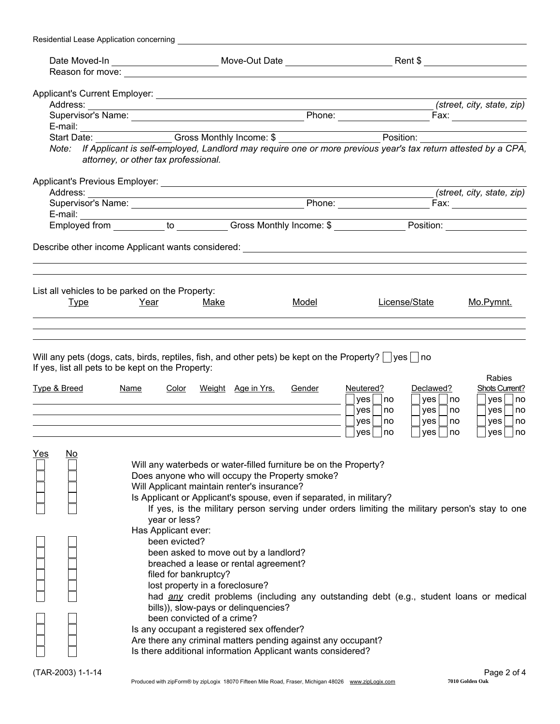| Residential Lease Application concerning |                                                                                                                                                                                                                                                                                                                                                                                                                                                                                                                                                                                                                                      |                                     |                                                                                                                                                                                           |                                                                                                                                |
|------------------------------------------|--------------------------------------------------------------------------------------------------------------------------------------------------------------------------------------------------------------------------------------------------------------------------------------------------------------------------------------------------------------------------------------------------------------------------------------------------------------------------------------------------------------------------------------------------------------------------------------------------------------------------------------|-------------------------------------|-------------------------------------------------------------------------------------------------------------------------------------------------------------------------------------------|--------------------------------------------------------------------------------------------------------------------------------|
|                                          |                                                                                                                                                                                                                                                                                                                                                                                                                                                                                                                                                                                                                                      |                                     |                                                                                                                                                                                           |                                                                                                                                |
|                                          |                                                                                                                                                                                                                                                                                                                                                                                                                                                                                                                                                                                                                                      |                                     |                                                                                                                                                                                           |                                                                                                                                |
|                                          |                                                                                                                                                                                                                                                                                                                                                                                                                                                                                                                                                                                                                                      |                                     |                                                                                                                                                                                           |                                                                                                                                |
|                                          |                                                                                                                                                                                                                                                                                                                                                                                                                                                                                                                                                                                                                                      |                                     |                                                                                                                                                                                           | (street, city, state, zip)                                                                                                     |
|                                          |                                                                                                                                                                                                                                                                                                                                                                                                                                                                                                                                                                                                                                      |                                     |                                                                                                                                                                                           |                                                                                                                                |
|                                          |                                                                                                                                                                                                                                                                                                                                                                                                                                                                                                                                                                                                                                      |                                     |                                                                                                                                                                                           |                                                                                                                                |
|                                          |                                                                                                                                                                                                                                                                                                                                                                                                                                                                                                                                                                                                                                      |                                     |                                                                                                                                                                                           |                                                                                                                                |
|                                          | Note: If Applicant is self-employed, Landlord may require one or more previous year's tax return attested by a CPA,<br>attorney, or other tax professional.                                                                                                                                                                                                                                                                                                                                                                                                                                                                          |                                     |                                                                                                                                                                                           |                                                                                                                                |
|                                          |                                                                                                                                                                                                                                                                                                                                                                                                                                                                                                                                                                                                                                      |                                     |                                                                                                                                                                                           |                                                                                                                                |
|                                          |                                                                                                                                                                                                                                                                                                                                                                                                                                                                                                                                                                                                                                      |                                     |                                                                                                                                                                                           | (street, city, state, zip)                                                                                                     |
|                                          |                                                                                                                                                                                                                                                                                                                                                                                                                                                                                                                                                                                                                                      |                                     |                                                                                                                                                                                           |                                                                                                                                |
|                                          |                                                                                                                                                                                                                                                                                                                                                                                                                                                                                                                                                                                                                                      |                                     |                                                                                                                                                                                           |                                                                                                                                |
|                                          |                                                                                                                                                                                                                                                                                                                                                                                                                                                                                                                                                                                                                                      |                                     |                                                                                                                                                                                           |                                                                                                                                |
|                                          |                                                                                                                                                                                                                                                                                                                                                                                                                                                                                                                                                                                                                                      |                                     |                                                                                                                                                                                           |                                                                                                                                |
|                                          | List all vehicles to be parked on the Property:                                                                                                                                                                                                                                                                                                                                                                                                                                                                                                                                                                                      |                                     |                                                                                                                                                                                           |                                                                                                                                |
| <u>Type</u>                              | Year<br>Make                                                                                                                                                                                                                                                                                                                                                                                                                                                                                                                                                                                                                         | <u>Model</u>                        | License/State                                                                                                                                                                             | Mo.Pymnt.                                                                                                                      |
|                                          |                                                                                                                                                                                                                                                                                                                                                                                                                                                                                                                                                                                                                                      |                                     |                                                                                                                                                                                           |                                                                                                                                |
|                                          |                                                                                                                                                                                                                                                                                                                                                                                                                                                                                                                                                                                                                                      |                                     |                                                                                                                                                                                           |                                                                                                                                |
| <u>Type &amp; Breed</u>                  | Will any pets (dogs, cats, birds, reptiles, fish, and other pets) be kept on the Property? $ $ yes $ $ no<br>If yes, list all pets to be kept on the Property:<br><b>Name</b><br>Color                                                                                                                                                                                                                                                                                                                                                                                                                                               | Gender<br><u>Weight Age in Yrs.</u> | Neutered?<br>yes<br>∣no<br>yes<br>  no<br>$yes \mid$<br>  no                                                                                                                              | Rabies<br>Declawed?<br><b>Shots Current?</b><br>yes<br>yes <br>no<br> no<br>yes<br>no<br>yes <br>no<br>yes<br>no<br>yes <br>no |
| <u>Yes</u><br><u>No</u>                  |                                                                                                                                                                                                                                                                                                                                                                                                                                                                                                                                                                                                                                      |                                     | ves<br>no                                                                                                                                                                                 | yes<br>yes <br>no<br>∣no                                                                                                       |
|                                          | Will any waterbeds or water-filled furniture be on the Property?<br>Does anyone who will occupy the Property smoke?<br>Will Applicant maintain renter's insurance?<br>Is Applicant or Applicant's spouse, even if separated, in military?<br>year or less?<br>Has Applicant ever:<br>been evicted?<br>been asked to move out by a landlord?<br>breached a lease or rental agreement?<br>filed for bankruptcy?<br>lost property in a foreclosure?<br>bills)), slow-pays or delinquencies?<br>been convicted of a crime?<br>Is any occupant a registered sex offender?<br>Are there any criminal matters pending against any occupant? |                                     | If yes, is the military person serving under orders limiting the military person's stay to one<br>had any credit problems (including any outstanding debt (e.g., student loans or medical |                                                                                                                                |
|                                          | Is there additional information Applicant wants considered?                                                                                                                                                                                                                                                                                                                                                                                                                                                                                                                                                                          |                                     |                                                                                                                                                                                           |                                                                                                                                |
| (TAR-2003) 1-1-14                        | Produced with zipForm® by zipLogix 18070 Fifteen Mile Road, Fraser, Michigan 48026 www.zipLogix.com                                                                                                                                                                                                                                                                                                                                                                                                                                                                                                                                  |                                     |                                                                                                                                                                                           | Page 2 of 4<br>7010 Golden Oak                                                                                                 |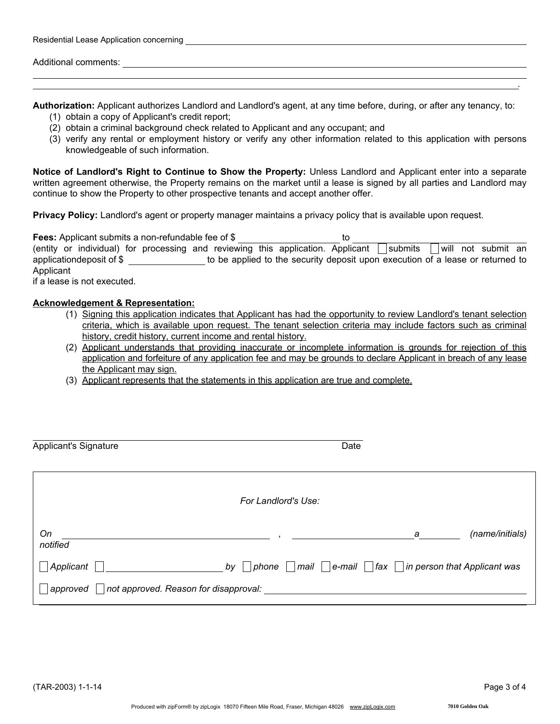Authorization: Applicant authorizes Landlord and Landlord's agent, at any time before, during, or after any tenancy, to:

- (1) obtain a copy of Applicant's credit report;
- (2) obtain a criminal background check related to Applicant and any occupant; and

Additional comments: **Additional** comments:

Residential Lease Application concerning **Construction Construction** Construction Construction Construction Const

(3) verify any rental or employment history or verify any other information related to this application with persons knowledgeable of such information.

Notice of Landlord's Right to Continue to Show the Property: Unless Landlord and Applicant enter into a separate written agreement otherwise, the Property remains on the market until a lease is signed by all parties and Landlord may continue to show the Property to other prospective tenants and accept another offer.

Privacy Policy: Landlord's agent or property manager maintains a privacy policy that is available upon request.

| <b>Fees:</b> Applicant submits a non-refundable fee of \$                       | το                                                                             |
|---------------------------------------------------------------------------------|--------------------------------------------------------------------------------|
| (entity or individual) for processing and reviewing this application. Applicant | will not submit an<br>submits                                                  |
| applicationdeposit of \$                                                        | to be applied to the security deposit upon execution of a lease or returned to |
| Applicant                                                                       |                                                                                |
| if a logeo is not every ited.                                                   |                                                                                |

if a lease is not executed.

## Acknowledgement & Representation:

- (1) Signing this application indicates that Applicant has had the opportunity to review Landlord's tenant selection criteria, which is available upon request. The tenant selection criteria may include factors such as criminal history, credit history, current income and rental history.
- (2) Applicant understands that providing inaccurate or incomplete information is grounds for rejection of this application and forfeiture of any application fee and may be grounds to declare Applicant in breach of any lease the Applicant may sign.
- (3) Applicant represents that the statements in this application are true and complete.

| <b>Applicant's Signature</b> |                                       | Date                                                           |                 |
|------------------------------|---------------------------------------|----------------------------------------------------------------|-----------------|
|                              | For Landlord's Use:                   |                                                                |                 |
| On<br>notified               |                                       | а                                                              | (name/initials) |
| Applicant                    | by<br>phone                           | mail   $ e$ -mail   $ $ fax   $ $ in person that Applicant was |                 |
| approved                     | not approved. Reason for disapproval: |                                                                |                 |

.